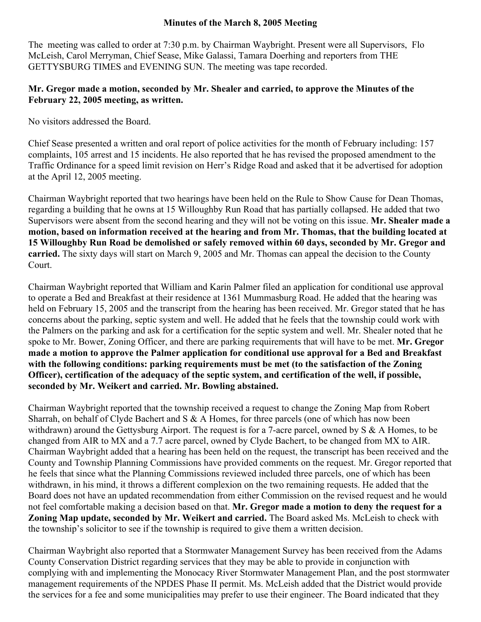## **Minutes of the March 8, 2005 Meeting**

The meeting was called to order at 7:30 p.m. by Chairman Waybright. Present were all Supervisors, Flo McLeish, Carol Merryman, Chief Sease, Mike Galassi, Tamara Doerhing and reporters from THE GETTYSBURG TIMES and EVENING SUN. The meeting was tape recorded.

## **Mr. Gregor made a motion, seconded by Mr. Shealer and carried, to approve the Minutes of the February 22, 2005 meeting, as written.**

No visitors addressed the Board.

Chief Sease presented a written and oral report of police activities for the month of February including: 157 complaints, 105 arrest and 15 incidents. He also reported that he has revised the proposed amendment to the Traffic Ordinance for a speed limit revision on Herr's Ridge Road and asked that it be advertised for adoption at the April 12, 2005 meeting.

Chairman Waybright reported that two hearings have been held on the Rule to Show Cause for Dean Thomas, regarding a building that he owns at 15 Willoughby Run Road that has partially collapsed. He added that two Supervisors were absent from the second hearing and they will not be voting on this issue. **Mr. Shealer made a motion, based on information received at the hearing and from Mr. Thomas, that the building located at 15 Willoughby Run Road be demolished or safely removed within 60 days, seconded by Mr. Gregor and carried.** The sixty days will start on March 9, 2005 and Mr. Thomas can appeal the decision to the County Court.

Chairman Waybright reported that William and Karin Palmer filed an application for conditional use approval to operate a Bed and Breakfast at their residence at 1361 Mummasburg Road. He added that the hearing was held on February 15, 2005 and the transcript from the hearing has been received. Mr. Gregor stated that he has concerns about the parking, septic system and well. He added that he feels that the township could work with the Palmers on the parking and ask for a certification for the septic system and well. Mr. Shealer noted that he spoke to Mr. Bower, Zoning Officer, and there are parking requirements that will have to be met. **Mr. Gregor made a motion to approve the Palmer application for conditional use approval for a Bed and Breakfast with the following conditions: parking requirements must be met (to the satisfaction of the Zoning Officer), certification of the adequacy of the septic system, and certification of the well, if possible, seconded by Mr. Weikert and carried. Mr. Bowling abstained.** 

Chairman Waybright reported that the township received a request to change the Zoning Map from Robert Sharrah, on behalf of Clyde Bachert and S & A Homes, for three parcels (one of which has now been withdrawn) around the Gettysburg Airport. The request is for a 7-acre parcel, owned by S & A Homes, to be changed from AIR to MX and a 7.7 acre parcel, owned by Clyde Bachert, to be changed from MX to AIR. Chairman Waybright added that a hearing has been held on the request, the transcript has been received and the County and Township Planning Commissions have provided comments on the request. Mr. Gregor reported that he feels that since what the Planning Commissions reviewed included three parcels, one of which has been withdrawn, in his mind, it throws a different complexion on the two remaining requests. He added that the Board does not have an updated recommendation from either Commission on the revised request and he would not feel comfortable making a decision based on that. **Mr. Gregor made a motion to deny the request for a Zoning Map update, seconded by Mr. Weikert and carried.** The Board asked Ms. McLeish to check with the township's solicitor to see if the township is required to give them a written decision.

Chairman Waybright also reported that a Stormwater Management Survey has been received from the Adams County Conservation District regarding services that they may be able to provide in conjunction with complying with and implementing the Monocacy River Stormwater Management Plan, and the post stormwater management requirements of the NPDES Phase II permit. Ms. McLeish added that the District would provide the services for a fee and some municipalities may prefer to use their engineer. The Board indicated that they